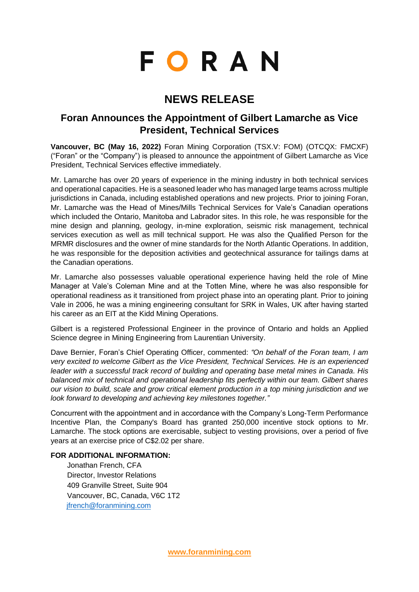# **FORAN**

## **NEWS RELEASE**

### **Foran Announces the Appointment of Gilbert Lamarche as Vice President, Technical Services**

**Vancouver, BC (May 16, 2022)** Foran Mining Corporation (TSX.V: FOM) (OTCQX: FMCXF) ("Foran" or the "Company") is pleased to announce the appointment of Gilbert Lamarche as Vice President, Technical Services effective immediately.

Mr. Lamarche has over 20 years of experience in the mining industry in both technical services and operational capacities. He is a seasoned leader who has managed large teams across multiple jurisdictions in Canada, including established operations and new projects. Prior to joining Foran, Mr. Lamarche was the Head of Mines/Mills Technical Services for Vale's Canadian operations which included the Ontario, Manitoba and Labrador sites. In this role, he was responsible for the mine design and planning, geology, in-mine exploration, seismic risk management, technical services execution as well as mill technical support. He was also the Qualified Person for the MRMR disclosures and the owner of mine standards for the North Atlantic Operations. In addition, he was responsible for the deposition activities and geotechnical assurance for tailings dams at the Canadian operations.

Mr. Lamarche also possesses valuable operational experience having held the role of Mine Manager at Vale's Coleman Mine and at the Totten Mine, where he was also responsible for operational readiness as it transitioned from project phase into an operating plant. Prior to joining Vale in 2006, he was a mining engineering consultant for SRK in Wales, UK after having started his career as an EIT at the Kidd Mining Operations.

Gilbert is a registered Professional Engineer in the province of Ontario and holds an Applied Science degree in Mining Engineering from Laurentian University.

Dave Bernier, Foran's Chief Operating Officer, commented: *"On behalf of the Foran team, I am very excited to welcome Gilbert as the Vice President, Technical Services. He is an experienced leader with a successful track record of building and operating base metal mines in Canada. His balanced mix of technical and operational leadership fits perfectly within our team. Gilbert shares our vision to build, scale and grow critical element production in a top mining jurisdiction and we look forward to developing and achieving key milestones together."*

Concurrent with the appointment and in accordance with the Company's Long-Term Performance Incentive Plan, the Company's Board has granted 250,000 incentive stock options to Mr. Lamarche. The stock options are exercisable, subject to vesting provisions, over a period of five years at an exercise price of C\$2.02 per share.

#### **FOR ADDITIONAL INFORMATION:**

Jonathan French, CFA Director, Investor Relations 409 Granville Street, Suite 904 Vancouver, BC, Canada, V6C 1T2 [jfrench@foranmining.com](mailto:jfrench@foranmining.com)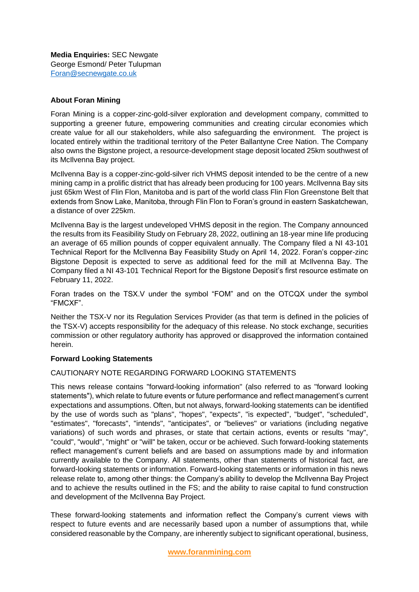#### **About Foran Mining**

Foran Mining is a copper-zinc-gold-silver exploration and development company, committed to supporting a greener future, empowering communities and creating circular economies which create value for all our stakeholders, while also safeguarding the environment. The project is located entirely within the traditional territory of the Peter Ballantyne Cree Nation. The Company also owns the Bigstone project, a resource-development stage deposit located 25km southwest of its McIlvenna Bay project.

McIlvenna Bay is a copper-zinc-gold-silver rich VHMS deposit intended to be the centre of a new mining camp in a prolific district that has already been producing for 100 years. McIlvenna Bay sits just 65km West of Flin Flon, Manitoba and is part of the world class Flin Flon Greenstone Belt that extends from Snow Lake, Manitoba, through Flin Flon to Foran's ground in eastern Saskatchewan, a distance of over 225km.

McIlvenna Bay is the largest undeveloped VHMS deposit in the region. The Company announced the results from its Feasibility Study on February 28, 2022, outlining an 18-year mine life producing an average of 65 million pounds of copper equivalent annually. The Company filed a NI 43-101 Technical Report for the McIlvenna Bay Feasibility Study on April 14, 2022. Foran's copper-zinc Bigstone Deposit is expected to serve as additional feed for the mill at McIlvenna Bay. The Company filed a NI 43-101 Technical Report for the Bigstone Deposit's first resource estimate on February 11, 2022.

Foran trades on the TSX.V under the symbol "FOM" and on the OTCQX under the symbol "FMCXF".

Neither the TSX-V nor its Regulation Services Provider (as that term is defined in the policies of the TSX-V) accepts responsibility for the adequacy of this release. No stock exchange, securities commission or other regulatory authority has approved or disapproved the information contained herein.

#### **Forward Looking Statements**

#### CAUTIONARY NOTE REGARDING FORWARD LOOKING STATEMENTS

This news release contains "forward-looking information" (also referred to as "forward looking statements"), which relate to future events or future performance and reflect management's current expectations and assumptions. Often, but not always, forward-looking statements can be identified by the use of words such as "plans", "hopes", "expects", "is expected", "budget", "scheduled", "estimates", "forecasts", "intends", "anticipates", or "believes" or variations (including negative variations) of such words and phrases, or state that certain actions, events or results "may", "could", "would", "might" or "will" be taken, occur or be achieved. Such forward-looking statements reflect management's current beliefs and are based on assumptions made by and information currently available to the Company. All statements, other than statements of historical fact, are forward-looking statements or information. Forward-looking statements or information in this news release relate to, among other things: the Company's ability to develop the McIlvenna Bay Project and to achieve the results outlined in the FS; and the ability to raise capital to fund construction and development of the McIlvenna Bay Project.

These forward-looking statements and information reflect the Company's current views with respect to future events and are necessarily based upon a number of assumptions that, while considered reasonable by the Company, are inherently subject to significant operational, business,